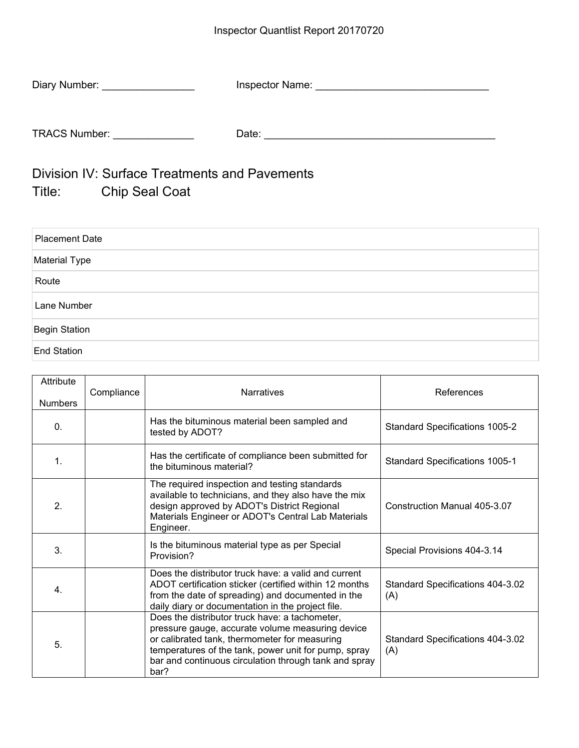| Diary Number:        | <b>Inspector Name:</b> |  |
|----------------------|------------------------|--|
|                      |                        |  |
| <b>TRACS Number:</b> | Date:                  |  |

Division IV: Surface Treatments and Pavements<br>Title: Chip Seal Coat Chip Seal Coat

| Placement Date |  |
|----------------|--|
| Material Type  |  |
| Route          |  |
| Lane Number    |  |
| Begin Station  |  |
| End Station    |  |

| Attribute<br><b>Numbers</b> | Compliance | <b>Narratives</b>                                                                                                                                                                                                                                                            | References                              |
|-----------------------------|------------|------------------------------------------------------------------------------------------------------------------------------------------------------------------------------------------------------------------------------------------------------------------------------|-----------------------------------------|
| $\mathbf{0}$ .              |            | Has the bituminous material been sampled and<br>tested by ADOT?                                                                                                                                                                                                              | <b>Standard Specifications 1005-2</b>   |
| 1.                          |            | Has the certificate of compliance been submitted for<br>the bituminous material?                                                                                                                                                                                             | Standard Specifications 1005-1          |
| 2.                          |            | The required inspection and testing standards<br>available to technicians, and they also have the mix<br>design approved by ADOT's District Regional<br>Materials Engineer or ADOT's Central Lab Materials<br>Engineer.                                                      | Construction Manual 405-3.07            |
| 3.                          |            | Is the bituminous material type as per Special<br>Provision?                                                                                                                                                                                                                 | Special Provisions 404-3.14             |
| 4.                          |            | Does the distributor truck have: a valid and current<br>ADOT certification sticker (certified within 12 months<br>from the date of spreading) and documented in the<br>daily diary or documentation in the project file.                                                     | Standard Specifications 404-3.02<br>(A) |
| 5.                          |            | Does the distributor truck have: a tachometer,<br>pressure gauge, accurate volume measuring device<br>or calibrated tank, thermometer for measuring<br>temperatures of the tank, power unit for pump, spray<br>bar and continuous circulation through tank and spray<br>bar? | Standard Specifications 404-3.02<br>(A) |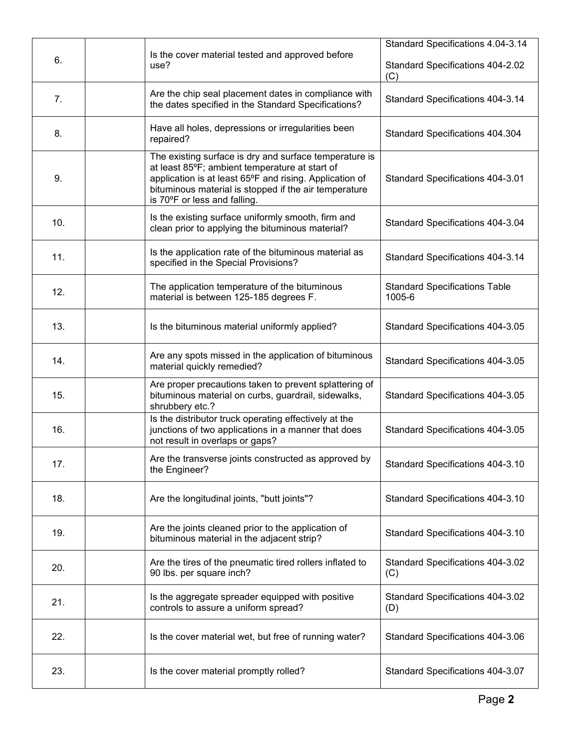| 6.  |                                                          |                                                                                                                                                                                                                                                              | Standard Specifications 4.04-3.14              |
|-----|----------------------------------------------------------|--------------------------------------------------------------------------------------------------------------------------------------------------------------------------------------------------------------------------------------------------------------|------------------------------------------------|
|     | Is the cover material tested and approved before<br>use? | Standard Specifications 404-2.02<br>(C)                                                                                                                                                                                                                      |                                                |
| 7.  |                                                          | Are the chip seal placement dates in compliance with<br>the dates specified in the Standard Specifications?                                                                                                                                                  | Standard Specifications 404-3.14               |
| 8.  |                                                          | Have all holes, depressions or irregularities been<br>repaired?                                                                                                                                                                                              | Standard Specifications 404.304                |
| 9.  |                                                          | The existing surface is dry and surface temperature is<br>at least 85°F; ambient temperature at start of<br>application is at least 65°F and rising. Application of<br>bituminous material is stopped if the air temperature<br>is 70°F or less and falling. | Standard Specifications 404-3.01               |
| 10. |                                                          | Is the existing surface uniformly smooth, firm and<br>clean prior to applying the bituminous material?                                                                                                                                                       | Standard Specifications 404-3.04               |
| 11. |                                                          | Is the application rate of the bituminous material as<br>specified in the Special Provisions?                                                                                                                                                                | Standard Specifications 404-3.14               |
| 12. |                                                          | The application temperature of the bituminous<br>material is between 125-185 degrees F.                                                                                                                                                                      | <b>Standard Specifications Table</b><br>1005-6 |
| 13. |                                                          | Is the bituminous material uniformly applied?                                                                                                                                                                                                                | Standard Specifications 404-3.05               |
| 14. |                                                          | Are any spots missed in the application of bituminous<br>material quickly remedied?                                                                                                                                                                          | Standard Specifications 404-3.05               |
| 15. |                                                          | Are proper precautions taken to prevent splattering of<br>bituminous material on curbs, guardrail, sidewalks,<br>shrubbery etc.?                                                                                                                             | Standard Specifications 404-3.05               |
| 16. |                                                          | Is the distributor truck operating effectively at the<br>junctions of two applications in a manner that does<br>not result in overlaps or gaps?                                                                                                              | Standard Specifications 404-3.05               |
| 17. |                                                          | Are the transverse joints constructed as approved by<br>the Engineer?                                                                                                                                                                                        | Standard Specifications 404-3.10               |
| 18. |                                                          | Are the longitudinal joints, "butt joints"?                                                                                                                                                                                                                  | Standard Specifications 404-3.10               |
| 19. |                                                          | Are the joints cleaned prior to the application of<br>bituminous material in the adjacent strip?                                                                                                                                                             | Standard Specifications 404-3.10               |
| 20. |                                                          | Are the tires of the pneumatic tired rollers inflated to<br>90 lbs. per square inch?                                                                                                                                                                         | Standard Specifications 404-3.02<br>(C)        |
| 21. |                                                          | Is the aggregate spreader equipped with positive<br>controls to assure a uniform spread?                                                                                                                                                                     | Standard Specifications 404-3.02<br>(D)        |
| 22. |                                                          | Is the cover material wet, but free of running water?                                                                                                                                                                                                        | Standard Specifications 404-3.06               |
| 23. |                                                          | Is the cover material promptly rolled?                                                                                                                                                                                                                       | Standard Specifications 404-3.07               |